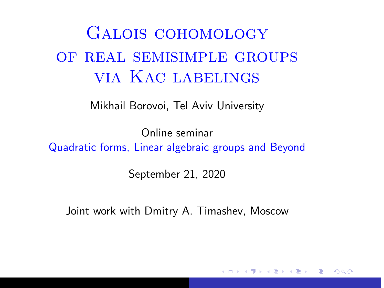## <span id="page-0-0"></span>Galois cohomology of real semisimple groups via Kac labelings

Mikhail Borovoi, Tel Aviv University

Online seminar Quadratic forms, Linear algebraic groups and Beyond

September 21, 2020

Joint work with Dmitry A. Timashev, Moscow

へのへ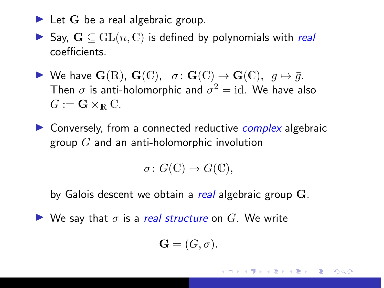- $\blacktriangleright$  Let G be a real algebraic group.
- ► Say,  $\mathbf{G} \subseteq \mathrm{GL}(n, \mathbb{C})$  is defined by polynomials with real coefficients.
- $\triangleright$  We have G(R), G(C), σ: G(C) → G(C),  $g \mapsto \bar{g}$ . Then  $\sigma$  is anti-holomorphic and  $\sigma^2 = \mathrm{id}.$  We have also  $G := \mathbf{G} \times_{\mathbb{R}} \mathbb{C}.$
- $\triangleright$  Conversely, from a connected reductive *complex* algebraic group  $G$  and an anti-holomorphic involution

$$
\sigma\colon G(\mathbb{C})\to G(\mathbb{C}),
$$

by Galois descent we obtain a real algebraic group G.

 $\triangleright$  We say that  $\sigma$  is a real structure on G. We write

$$
\mathbf{G}=(G,\sigma).
$$

 $\Omega$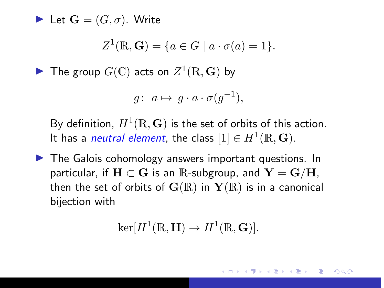let  $\mathbf{G} = (G, \sigma)$ . Write

$$
Z^1(\mathbb{R}, \mathbf{G}) = \{ a \in G \mid a \cdot \sigma(a) = 1 \}.
$$

 $\blacktriangleright$  The group  $G(\mathbb{C})$  acts on  $Z^1(\mathbb{R},\mathbf{G})$  by

$$
g: a \mapsto g \cdot a \cdot \sigma(g^{-1}),
$$

By definition,  $H^1(\mathbb{R}, {\bf G})$  is the set of orbits of this action. It has a *neutral element*, the class  $[1] \in H^1(\mathbb{R}, \mathbf{G}).$ 

 $\blacktriangleright$  The Galois cohomology answers important questions. In particular, if  $H \subset G$  is an R-subgroup, and  $Y = G/H$ , then the set of orbits of  $\mathbf{G}(\mathbb{R})$  in  $\mathbf{Y}(\mathbb{R})$  is in a canonical bijection with

$$
\ker[H^1(\mathbb{R}, \mathbf{H}) \to H^1(\mathbb{R}, \mathbf{G})].
$$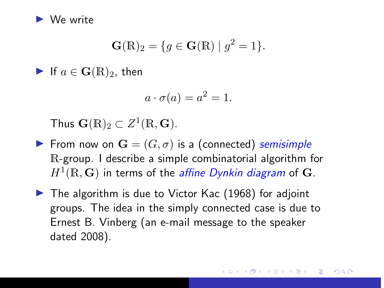

$$
\mathbf{G}(\mathbb{R})_2 = \{ g \in \mathbf{G}(\mathbb{R}) \mid g^2 = 1 \}.
$$

If  $a \in \mathbf{G}(\mathbb{R})_2$ , then

$$
a \cdot \sigma(a) = a^2 = 1.
$$

Thus  $\mathbf{G}(\mathbb{R})_2 \subset Z^1(\mathbb{R},\mathbf{G})$ .

- From now on  $\mathbf{G} = (G, \sigma)$  is a (connected) semisimple R-group. I describe a simple combinatorial algorithm for  $H^1(\mathbb{R}, {\bf G})$  in terms of the *affine Dynkin diagram* of  ${\bf G}$ .
- $\blacktriangleright$  The algorithm is due to Victor Kac (1968) for adjoint groups. The idea in the simply connected case is due to Ernest B. Vinberg (an e-mail message to the speaker dated 2008).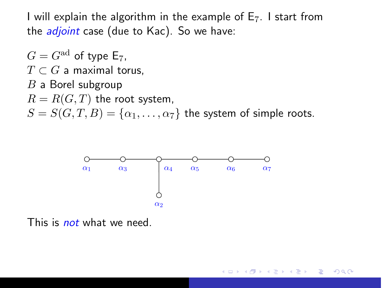I will explain the algorithm in the example of  $E_7$ . I start from the *adjoint* case (due to Kac). So we have:

 $G = G^{\text{ad}}$  of type E<sub>7</sub>.  $T \subset G$  a maximal torus.  $B$  a Borel subgroup  $R = R(G, T)$  the root system,  $S = S(G, T, B) = \{\alpha_1, \dots, \alpha_7\}$  the system of simple roots.



This is *not* what we need.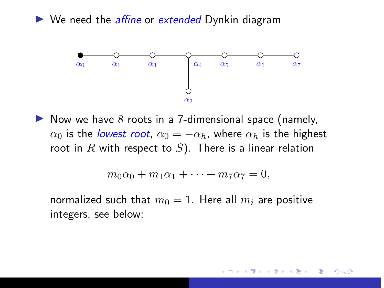$\triangleright$  We need the *affine* or *extended* Dynkin diagram



 $\triangleright$  Now we have 8 roots in a 7-dimensional space (namely,  $\alpha_0$  is the lowest root,  $\alpha_0 = -\alpha_h$ , where  $\alpha_h$  is the highest root in  $R$  with respect to  $S$ ). There is a linear relation

$$
m_0\alpha_0 + m_1\alpha_1 + \cdots + m_7\alpha_7 = 0,
$$

normalized such that  $m_0 = 1$ . Here all  $m_i$  are positive integers, see below: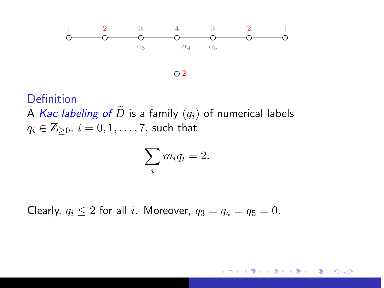

Definition A Kac labeling of  $\widetilde{D}$  is a family  $(q_i)$  of numerical labels  $q_i \in \mathbb{Z}_{\geq 0}, i = 0, 1, \ldots, 7$ , such that

$$
\sum_i m_i q_i = 2.
$$

Clearly,  $q_i \leq 2$  for all i. Moreover,  $q_3 = q_4 = q_5 = 0$ .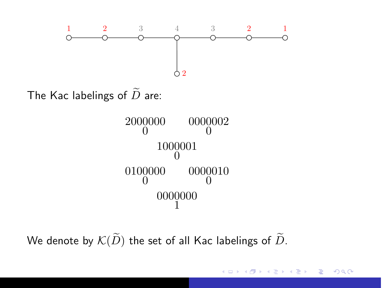

The Kac labelings of  $\widetilde{D}$  are:



We denote by  $\mathcal{K}(\widetilde{D})$  the set of all Kac labelings of  $\widetilde{D}$ .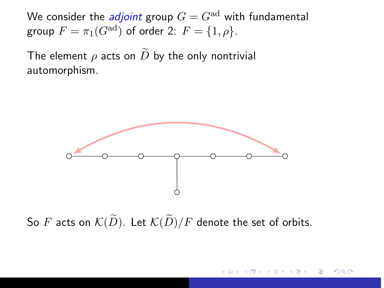We consider the *adjoint* group  $G = G^{ad}$  with fundamental group  $F = \pi_1(G^{\text{ad}})$  of order 2:  $F = \{1, \rho\}.$ 

The element  $\rho$  acts on  $\widetilde{D}$  by the only nontrivial automorphism.



So F acts on  $\mathcal{K}(\widetilde{D})$ . Let  $\mathcal{K}(\widetilde{D})/F$  denote the set of orbits.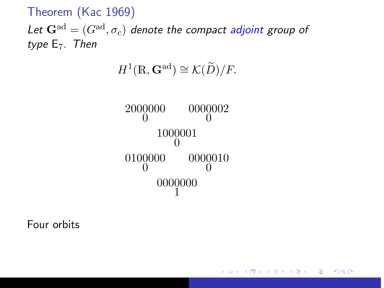Theorem (Kac 1969)

Let  $\mathbf{G}^{\text{ad}} = (G^{\text{ad}}, \sigma_c)$  denote the compact adjoint group of type  $E_7$ . Then

$$
H^1(\mathbb{R}, \mathbf{G}^{\mathrm{ad}}) \cong \mathcal{K}(\widetilde{D})/F.
$$

2000000  $\theta$ 0000 0000002  $\theta$ 1000 001 0 0100000  $\theta$ 0000 0000010  $\theta$ 0000 000 1

Four orbits

メロメ メ御 メメ ミメ メミメ 重  $2Q$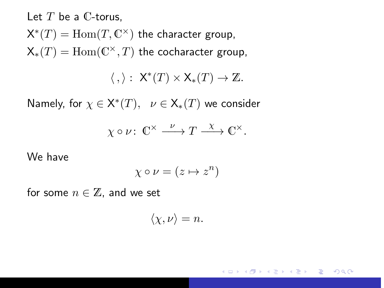Let  $T$  be a  $\mathbb C$ -torus,  $\mathsf{X}^*(T)=\operatorname{Hom}(T,\mathbb{C}^\times)$  the character group,

 $\mathsf{X}_*(T)=\mathrm{Hom}(\mathbb{C}^{\times},T)$  the cocharacter group,

 $\langle , \rangle : X^*(T) \times X_*(T) \to \mathbb{Z}.$ 

Namely, for  $\chi \in \mathsf{X}^*(T), \ \ \nu \in \mathsf{X}_*(T)$  we consider

$$
\chi \circ \nu \colon \mathbb{C}^\times \xrightarrow{\nu} T \xrightarrow{\chi} \mathbb{C}^\times.
$$

We have

$$
\chi\circ\nu=(z\mapsto z^n)
$$

for some  $n \in \mathbb{Z}$ , and we set

$$
\langle \chi, \nu \rangle = n.
$$

つくい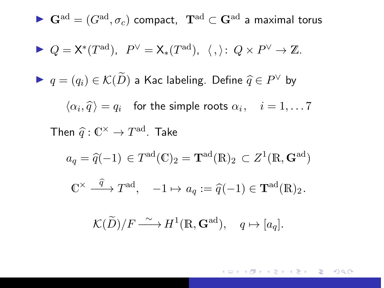\n- ▶ 
$$
\mathbf{G}^{\text{ad}} = (G^{\text{ad}}, \sigma_c)
$$
 compact,  $\mathbf{T}^{\text{ad}} \subset \mathbf{G}^{\text{ad}}$  a maximal torus
\n- ▶  $Q = \mathsf{X}^*(T^{\text{ad}}), P^{\vee} = \mathsf{X}_*(T^{\text{ad}}), \langle , \rangle \colon Q \times P^{\vee} \to \mathbb{Z}.$
\n- ▶  $q = (q_i) \in \mathcal{K}(\widetilde{D})$  a Kac labeling. Define  $\widehat{q} \in P^{\vee}$  by  $\langle \alpha_i, \widehat{q} \rangle = q_i$  for the simple roots  $\alpha_i, \quad i = 1, \ldots, 7$  Then  $\widehat{q} : \mathbb{C}^{\times} \to T^{\text{ad}}$ . Take\n 
$$
a_q = \widehat{q}(-1) \in T^{\text{ad}}(\mathbb{C})_2 = \mathbf{T}^{\text{ad}}(\mathbb{R})_2 \subset Z^1(\mathbb{R}, \mathbf{G}^{\text{ad}})
$$
\n
$$
\mathbb{C}^{\times} \xrightarrow{\widehat{q}} T^{\text{ad}}, \quad -1 \mapsto a_q := \widehat{q}(-1) \in \mathbf{T}^{\text{ad}}(\mathbb{R})_2.
$$
\n
$$
\mathcal{K}(\widetilde{D})/F \xrightarrow{\sim} H^1(\mathbb{R}, \mathbf{G}^{\text{ad}}), \quad q \mapsto [a_q].
$$

メロトメタトメミトメミト ミニのダダー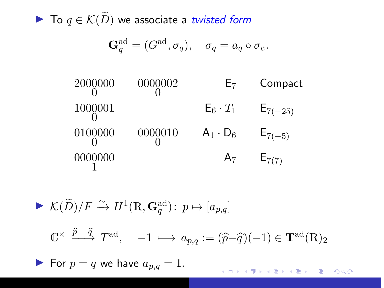▶ To  $q \in \mathcal{K}(\widetilde{D})$  we associate a twisted form

$$
\mathbf{G}_q^{\mathrm{ad}} = (G^{\mathrm{ad}}, \sigma_q), \quad \sigma_q = a_q \circ \sigma_c.
$$

| 2000000 | 0000002 | $E_7$           | Compact      |
|---------|---------|-----------------|--------------|
| 1000001 |         | $E_6 \cdot T_1$ | $E_{7(-25)}$ |
| 0100000 | 0000010 | $A_1 \cdot D_6$ | $E_{7(-5)}$  |
| 0000000 |         | A <sub>7</sub>  | $E_{7(7)}$   |

\n- $$
\mathcal{K}(\widetilde{D})/F \xrightarrow{\sim} H^1(\mathbb{R}, \mathbf{G}_q^{\text{ad}}): p \mapsto [a_{p,q}]
$$
\n- $\mathbb{C}^\times \xrightarrow{\widehat{p}-\widehat{q}} T^{\text{ad}}, \quad -1 \longmapsto a_{p,q} := (\widehat{p}-\widehat{q})(-1) \in \mathbf{T}^{\text{ad}}(\mathbb{R})_2$
\n- $\blacktriangleright$  For  $p = q$  we have  $a_{p,q} = 1$ .
\n

K ロ ▶ K 御 ▶ K 君 ▶ K 君 ▶ ○ 君 ○ ◆ 9 Q ⊙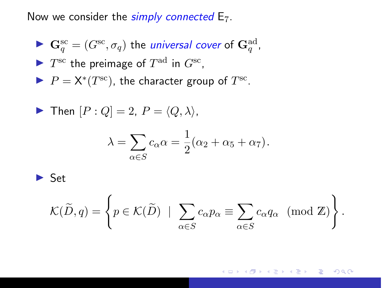Now we consider the simply connected  $E_7$ .

\n- $$
\mathbf{G}_q^{\text{sc}} = (G^{\text{sc}}, \sigma_q)
$$
 the *universal cover* of  $\mathbf{G}_q^{\text{ad}}$ ,
\n- $T^{\text{sc}}$  the preimage of  $T^{\text{ad}}$  in  $G^{\text{sc}}$ ,
\n- $P = \mathsf{X}^*(T^{\text{sc}})$ , the character group of  $T^{\text{sc}}$ .
\n

$$
\blacktriangleright \text{ Then } [P:Q] = 2, P = \langle Q, \lambda \rangle,
$$

$$
\lambda = \sum_{\alpha \in S} c_{\alpha} \alpha = \frac{1}{2} (\alpha_2 + \alpha_5 + \alpha_7).
$$

 $\blacktriangleright$  Set

$$
\mathcal{K}(\widetilde{D}, q) = \left\{ p \in \mathcal{K}(\widetilde{D}) \mid \sum_{\alpha \in S} c_{\alpha} p_{\alpha} \equiv \sum_{\alpha \in S} c_{\alpha} q_{\alpha} \pmod{\mathbb{Z}} \right\}.
$$

メロメ メ御 メメ ミメ メミメ 目  $299$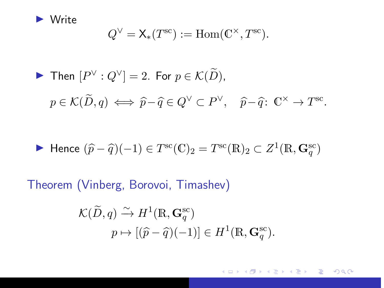

$$
Q^{\vee} = \mathsf{X}_{*}(T^{\text{sc}}) := \text{Hom}(\mathbb{C}^{\times}, T^{\text{sc}}).
$$

► Then 
$$
[P^{\vee} : Q^{\vee}] = 2
$$
. For  $p \in \mathcal{K}(\widetilde{D})$ ,  
\n $p \in \mathcal{K}(\widetilde{D}, q) \iff \widehat{p} - \widehat{q} \in Q^{\vee} \subset P^{\vee}, \quad \widehat{p} - \widehat{q} \colon \mathbb{C}^{\times} \to T^{\text{sc}}$ .

Hence 
$$
(\hat{p} - \hat{q})(-1) \in T^{sc}(\mathbb{C})_2 = T^{sc}(\mathbb{R})_2 \subset Z^1(\mathbb{R}, \mathbf{G}_q^{sc})
$$

Theorem (Vinberg, Borovoi, Timashev)

$$
\mathcal{K}(\widetilde{D}, q) \xrightarrow{\sim} H^1(\mathbb{R}, \mathbf{G}_q^{\text{sc}})
$$

$$
p \mapsto [(\widehat{p} - \widehat{q})(-1)] \in H^1(\mathbb{R}, \mathbf{G}_q^{\text{sc}}).
$$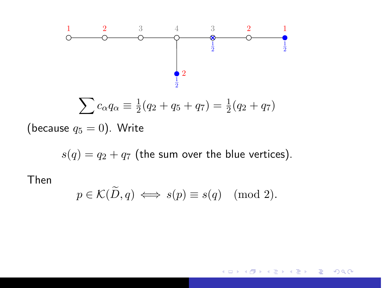

(because  $q_5 = 0$ ). Write

 $s(q) = q_2 + q_7$  (the sum over the blue vertices).

Then

$$
p \in \mathcal{K}(\widetilde{D}, q) \iff s(p) \equiv s(q) \pmod{2}.
$$

#### $2Q$ 4 0 5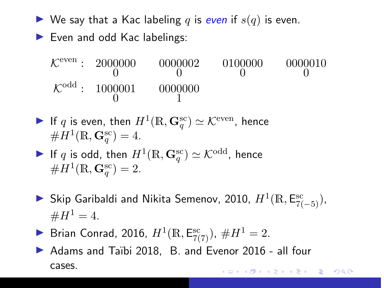- $\blacktriangleright$  We say that a Kac labeling q is even if  $s(q)$  is even.
- $\blacktriangleright$  Even and odd Kac labelings:
	- $\mathcal{K}^{\text{even}}: 2000$ 0 0 2000000 0000002 0100000  $\theta$ 0000 0000010  $\theta$  $\mathcal{K}^{\text{odd}}: 1000$  $\theta$ 001 0000 1 000
- If  $q$  is even, then  $H^1(\mathbb{R},\mathbf{G}_q^{\mathrm{sc}}) \simeq \mathcal{K}^{\mathrm{even}}$ , hence  $#H^{1}(\mathbb{R}, \mathbf{G}_{q}^{\text{sc}}) = 4.$
- $\blacktriangleright$  If  $q$  is odd, then  $H^1(\mathbb{R},\mathbf{G}_q^{\mathrm{sc}})\simeq\mathcal{K}^{\text{odd}}$ , hence  $#H^{1}(\mathbb{R}, \mathbf{G}_{q}^{\text{sc}})=2.$
- ► Skip Garibaldi and Nikita Semenov, 2010,  $H^1(\mathbb{R}, \mathsf{E}^{\text{sc}}_{7(-5)})$ ,  $#H^1 = 4.$
- **Brian Conrad, 2016,**  $H^1(\mathbb{R}, \mathsf{E}_{7(7)}^{\rm sc})$ ,  $\#H^1 = 2$ .
- ▶ Adams and Taïbi 2018, B. and Evenor 2016 all four cases.K ロ ▶ K 御 ▶ K 唐 ▶ K 唐 ▶ ○唐

 $2Q$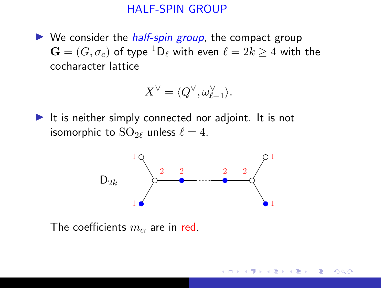#### HALF-SPIN GROUP

<span id="page-17-0"></span> $\triangleright$  We consider the *half-spin group*, the compact group  $\mathbf{G} = (G, \sigma_c)$  of type  ${}^1\mathsf{D}_\ell$  with even  $\ell = 2k \geq 4$  with the cocharacter lattice

$$
X^{\vee} = \langle Q^{\vee}, \omega_{\ell-1}^{\vee} \rangle.
$$

 $\blacktriangleright$  It is neither simply connected nor adjoint. It is not isomorphic to  $SO_{2\ell}$  unless  $\ell = 4$ .



The coefficients  $m_{\alpha}$  are in red.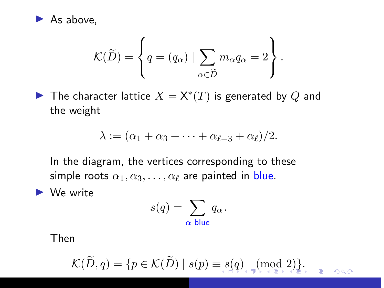<span id="page-18-0"></span>

$$
\mathcal{K}(\widetilde{D}) = \left\{ q = (q_{\alpha}) \mid \sum_{\alpha \in \widetilde{D}} m_{\alpha} q_{\alpha} = 2 \right\}.
$$

▶ The character lattice  $X = \mathsf{X}^*(T)$  is generated by  $Q$  and the weight

$$
\lambda := (\alpha_1 + \alpha_3 + \cdots + \alpha_{\ell-3} + \alpha_{\ell})/2.
$$

In the diagram, the vertices corresponding to these simple roots  $\alpha_1, \alpha_3, \ldots, \alpha_\ell$  are painted in blue.

 $\blacktriangleright$  We write

$$
s(q) = \sum_{\alpha \text{ blue}} q_{\alpha}.
$$

Then

$$
\mathcal{K}(\widetilde{D},q)=\{p\in \mathcal{K}(\widetilde{D})\mid s(p)\equiv s(q)\text{ and } (p,q)\in \mathcal{K}\}
$$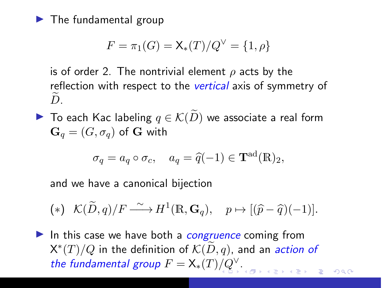<span id="page-19-0"></span> $\blacktriangleright$  The fundamental group

$$
F = \pi_1(G) = \mathsf{X}_*(T)/Q^{\vee} = \{1, \rho\}
$$

is of order 2. The nontrivial element  $\rho$  acts by the reflection with respect to the *vertical* axis of symmetry of  $D$ .

▶ To each Kac labeling  $q \in \mathcal{K}(\widetilde{D})$  we associate a real form  ${\bf G}_q = (G,\sigma_q)$  of G with

$$
\sigma_q = a_q \circ \sigma_c, \quad a_q = \widehat{q}(-1) \in \mathbf{T}^{\text{ad}}(\mathbb{R})_2,
$$

and we have a canonical bijection

<span id="page-19-1"></span>
$$
(*)\ \mathcal{K}(\widetilde{D},q)/F \xrightarrow{\sim} H^1(\mathbb{R},\mathbf{G}_q),\ \ p \mapsto [(\widehat{p}-\widehat{q})(-1)].
$$

In this case we have both a *congruence* coming from  $X^*(T)/Q$  in the definition of  $\mathcal{K}(\widetilde{D}, q)$ , and an *action of* the fundamental group  $F = X_*(T)/Q^{\vee}$  $F = X_*(T)/Q^{\vee}$  $F = X_*(T)/Q^{\vee}$  $\Omega$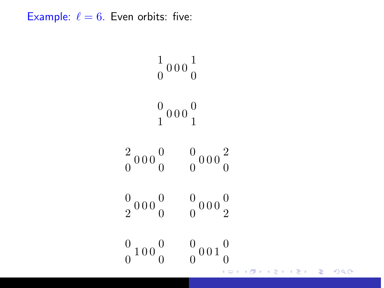<span id="page-20-0"></span>Example:  $\ell = 6$ . Even orbits: five:

$$
\begin{array}{ccc}\n & 1 & 0 & 0 & 0 \\
 & 0 & 0 & 0 & 0 \\
 & 1 & 0 & 0 & 0 \\
 & 0 & 0 & 0 & 0 \\
 & 0 & 0 & 0 & 0 \\
 & 0 & 0 & 0 & 0 \\
 & 0 & 0 & 0 & 0\n\end{array}
$$
\n
$$
\begin{array}{ccc}\n & 0 & 0 & 0 & 0 & 0 \\
 & 0 & 0 & 0 & 0 & 0 \\
 & 0 & 0 & 0 & 0 & 0 \\
 & 0 & 0 & 0 & 0 & 0\n\end{array}
$$

トイ目ト

目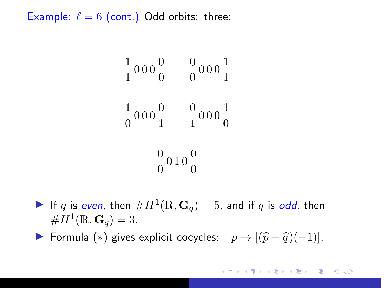Example:  $\ell = 6$  (cont.) Odd orbits: three:

$$
\begin{array}{ccc}\n1 & 0 & 0 & 0 & 0 \\
1 & 0 & 0 & 0 & 0 \\
0 & 0 & 0 & 0 & 1 \\
0 & 0 & 0 & 0 & 0 \\
0 & 0 & 0 & 0\n\end{array}
$$

If q is even, then  $\#H^1(\mathbb{R}, \mathbf{G}_q) = 5$ , and if q is odd, then  $#H^{1}(\mathbb{R}, \mathbf{G}_{q}) = 3.$ 

► Formula (\*) gives explicit cocycles:  $p \mapsto [(\hat{p} - \hat{q})(-1)].$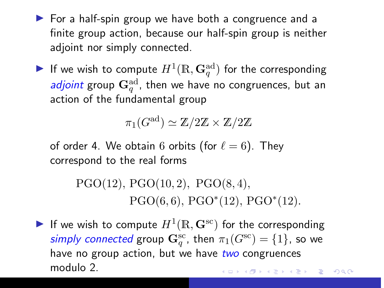- $\triangleright$  For a half-spin group we have both a congruence and a finite group action, because our half-spin group is neither adjoint nor simply connected.
- $\blacktriangleright$  If we wish to compute  $H^1(\mathbb{R},\mathbf{G}_q^{\rm ad})$  for the corresponding *adjoint* group  $\mathbf{G}_q^{\mathrm{ad}}$ , then we have no congruences, but an action of the fundamental group

 $\pi_1(G^\mathrm{ad}) \simeq \mathbb{Z}/2\mathbb{Z} \times \mathbb{Z}/2\mathbb{Z}$ 

of order 4. We obtain 6 orbits (for  $\ell = 6$ ). They correspond to the real forms

> $PGO(12)$ ,  $PGO(10, 2)$ ,  $PGO(8, 4)$ ,  $PGO(6,6)$ ,  $PGO^*(12)$ ,  $PGO^*(12)$ .

If we wish to compute  $H^1(\mathbb{R}, \mathbf{G}^{\text{sc}})$  for the corresponding simply connected group  $\mathbf{G}_q^{\mathrm{sc}}$ , then  $\pi_1(G^{\mathrm{sc}}) = \{1\}$ , so we have no group action, but we have two congruences modulo 2.**K ロメ K 御 ド K ヨ ド K ヨ ド** 

 $2Q$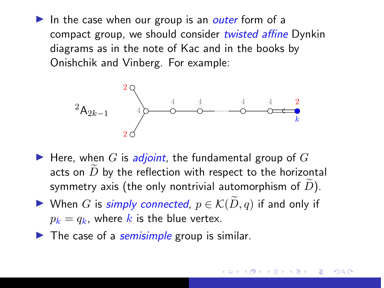In the case when our group is an outer form of a compact group, we should consider twisted affine Dynkin diagrams as in the note of Kac and in the books by Onishchik and Vinberg. For example:



- $\blacktriangleright$  Here, when G is *adjoint*, the fundamental group of G acts on  $D$  by the reflection with respect to the horizontal symmetry axis (the only nontrivial automorphism of  $D$ ).
- ► When G is simply connected,  $p \in \mathcal{K}(\widetilde{D}, q)$  if and only if  $p_k = q_k$ , where k is the blue vertex.
- $\blacktriangleright$  The case of a semisimple group is similar.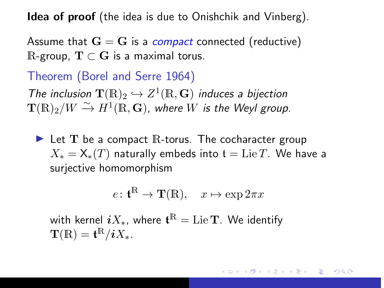**Idea of proof** (the idea is due to Onishchik and Vinberg).

Assume that  $G = G$  is a *compact* connected (reductive) R-group,  $T \subset G$  is a maximal torus.

Theorem (Borel and Serre 1964)

The inclusion  $\mathbf{T}(\mathbb{R})_2 \hookrightarrow Z^1(\mathbb{R}, \mathbf{G})$  induces a bijection  ${\bf T}(\mathbb{R})_2/W \xrightarrow{\sim} H^1(\mathbb{R},{\bf G})$ , where  $W$  is the Weyl group.

 $\blacktriangleright$  Let T be a compact R-torus. The cocharacter group  $X_* = X_*(T)$  naturally embeds into  $t = \text{Lie }T$ . We have a surjective homomorphism

$$
e\colon \mathbf{t}^{\mathbb{R}} \to \mathbf{T}(\mathbb{R}), \quad x \mapsto \exp 2\pi x
$$

with kernel  $iX_\ast$ , where  $\mathfrak{t}^\mathbb{R} = \operatorname{Lie} \mathbf{T}.$  We identify  $\mathbf{T}(\mathbb{R}) = \mathbf{t}^{\mathbb{R}}/iX_*$ .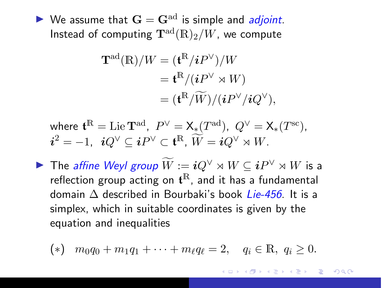$\triangleright$  We assume that  $G = G^{ad}$  is simple and *adjoint*. Instead of computing  $\mathbf{T}^{\text{ad}}(\mathbb{R})_2/W$ , we compute

$$
\mathbf{T}^{\mathrm{ad}}(\mathbb{R})/W = (\mathbf{t}^{\mathbb{R}}/iP^{\vee})/W
$$
  
= 
$$
\mathbf{t}^{\mathbb{R}}/(iP^{\vee} \rtimes W)
$$
  
= 
$$
(\mathbf{t}^{\mathbb{R}}/\widetilde{W})/(iP^{\vee}/iQ^{\vee}),
$$

where  $\mathbf{t}^{\mathbb{R}} = \mathrm{Lie}\, \mathbf{T}^{\mathrm{ad}},\,\,P^{\vee} = \mathsf{X}_*(T^{\mathrm{ad}}),\,\,Q^{\vee} = \mathsf{X}_*(T^{\mathrm{sc}}),$  $i^2 = -1$ ,  $iQ^{\vee} \subseteq iP^{\vee} \subset \mathfrak{t}^{\mathbb{R}}, \widetilde{W} = iQ^{\vee} \rtimes W$ .

▶ The *affine Weyl group*  $\widetilde{W} := iQ^\vee \rtimes W \subseteq iP^\vee \rtimes W$  is a reflection group acting on  $\mathbf{t}^{\mathbb{R}}$ , and it has a fundamental domain  $\Delta$  described in Bourbaki's book Lie-456. It is a simplex, which in suitable coordinates is given by the equation and inequalities

<span id="page-25-0"></span>(\*) 
$$
m_0q_0 + m_1q_1 + \cdots + m_\ell q_\ell = 2
$$
,  $q_i \in \mathbb{R}$ ,  $q_i \ge 0$ .

つへへ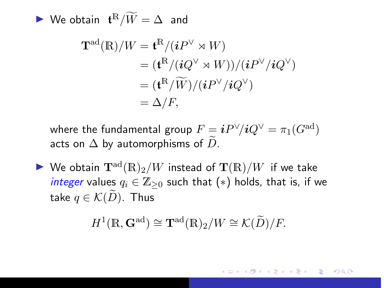$\blacktriangleright$  We obtain  $\mathbf{t}^{\mathbb{R}}/\widetilde{W} = \Delta$  and

$$
\mathbf{T}^{\mathrm{ad}}(\mathbb{R})/W = \mathbf{t}^{\mathbb{R}}/(iP^{\vee} \rtimes W)
$$
  
= 
$$
(\mathbf{t}^{\mathbb{R}}/(iQ^{\vee} \rtimes W))/(iP^{\vee}/iQ^{\vee})
$$
  
= 
$$
(\mathbf{t}^{\mathbb{R}}/\widetilde{W})/(iP^{\vee}/iQ^{\vee})
$$
  
= 
$$
\Delta/F,
$$

where the fundamental group  $F \equiv \bm{i} P^\vee\!/ \bm{i} Q^\vee = \pi_1(G^\mathrm{ad})$ acts on  $\Delta$  by automorphisms of D.

 $\blacktriangleright$  We obtain  $\mathbf{T}^{\text{ad}}(\mathbb{R})_2/W$  instead of  $\mathbf{T}(\mathbb{R})/W$  if we take integer values  $q_i \in \mathbb{Z}_{\geq 0}$  such that  $(*)$  holds, that is, if we take  $q \in \mathcal{K}(\widetilde{D})$ . Thus

$$
H^1(\mathbb{R}, \mathbf{G}^{\mathrm{ad}}) \cong \mathbf{T}^{\mathrm{ad}}(\mathbb{R})_2/W \cong \mathcal{K}(\widetilde{D})/F.
$$

つへへ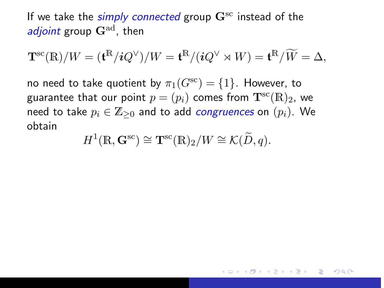If we take the simply connected group  $\mathbf{G}^{\text{sc}}$  instead of the adjoint group  $\mathbf{G}^{\text{ad}}$ , then

$$
\mathbf{T}^{\rm sc}(\mathbb{R})/W = (\mathbf{t}^{\mathbb{R}}/iQ^{\vee})/W = \mathbf{t}^{\mathbb{R}}/(iQ^{\vee} \rtimes W) = \mathbf{t}^{\mathbb{R}}/\widetilde{W} = \Delta,
$$

no need to take quotient by  $\pi_1(G^{sc}) = \{1\}$ . However, to guarantee that our point  $p = (p_i)$  comes from  $\mathbf{T}^{\text{sc}}(\mathbb{R})_2$ , we need to take  $p_i \in \mathbb{Z}_{\geq 0}$  and to add *congruences* on  $(p_i)$ . We obtain

$$
H^1(\mathbb{R}, \mathbf{G}^{\text{sc}}) \cong \mathbf{T}^{\text{sc}}(\mathbb{R})_2/W \cong \mathcal{K}(\widetilde{D}, q).
$$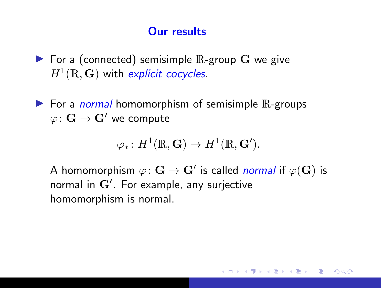### Our results

- $\blacktriangleright$  For a (connected) semisimple  $\mathbb R$ -group  $\mathbf G$  we give  $H^1(\mathbb{R},\mathbf{G})$  with explicit cocycles.
- $\triangleright$  For a *normal* homomorphism of semisimple R-groups  $\varphi\colon \mathbf{G}\to \mathbf{G}'$  we compute

$$
\varphi_*\colon H^1(\mathbb{R},\mathbf{G})\to H^1(\mathbb{R},\mathbf{G}').
$$

A homomorphism  $\varphi\colon \mathbf{G}\to \mathbf{G}'$  is called *normal* if  $\varphi(\mathbf{G})$  is normal in  $\mathbf{G}'.$  For example, any surjective homomorphism is normal.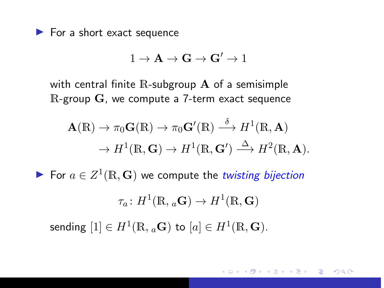$\blacktriangleright$  For a short exact sequence

$$
1\to \mathbf{A}\to \mathbf{G}\to \mathbf{G}'\to 1
$$

with central finite  $\mathbb R$ -subgroup  $\mathbf A$  of a semisimple R-group G, we compute a 7-term exact sequence

$$
\mathbf{A}(\mathbb{R}) \to \pi_0 \mathbf{G}(\mathbb{R}) \to \pi_0 \mathbf{G}'(\mathbb{R}) \stackrel{\delta}{\longrightarrow} H^1(\mathbb{R}, \mathbf{A})
$$

$$
\to H^1(\mathbb{R}, \mathbf{G}) \to H^1(\mathbb{R}, \mathbf{G}') \stackrel{\Delta}{\longrightarrow} H^2(\mathbb{R}, \mathbf{A}).
$$

For  $a \in Z^1(\mathbb{R}, \mathbf{G})$  we compute the twisting bijection

$$
\tau_a\colon H^1(\mathbb{R}, {}_a\mathbf{G})\to H^1(\mathbb{R},\mathbf{G})
$$
   
sending  $[1]\in H^1(\mathbb{R},{}_a\mathbf{G})$  to  $[a]\in H^1(\mathbb{R},\mathbf{G}).$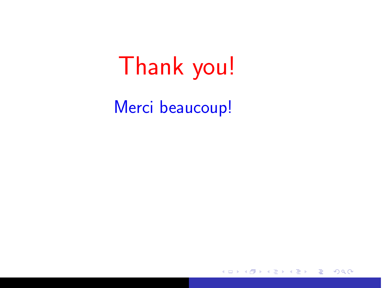# Thank you!

Merci beaucoup!